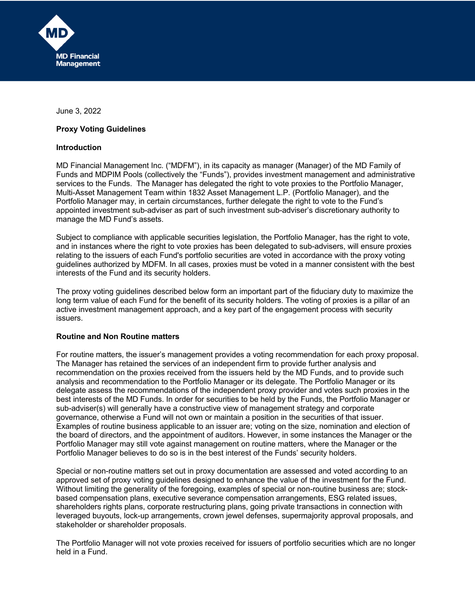

June 3, 2022

## **Proxy Voting Guidelines**

#### **Introduction**

MD Financial Management Inc. ("MDFM"), in its capacity as manager (Manager) of the MD Family of Funds and MDPIM Pools (collectively the "Funds"), provides investment management and administrative services to the Funds. The Manager has delegated the right to vote proxies to the Portfolio Manager, Multi-Asset Management Team within 1832 Asset Management L.P. (Portfolio Manager), and the Portfolio Manager may, in certain circumstances, further delegate the right to vote to the Fund's appointed investment sub-adviser as part of such investment sub-adviser's discretionary authority to manage the MD Fund's assets.

Subject to compliance with applicable securities legislation, the Portfolio Manager, has the right to vote, and in instances where the right to vote proxies has been delegated to sub-advisers, will ensure proxies relating to the issuers of each Fund's portfolio securities are voted in accordance with the proxy voting guidelines authorized by MDFM. In all cases, proxies must be voted in a manner consistent with the best interests of the Fund and its security holders.

The proxy voting guidelines described below form an important part of the fiduciary duty to maximize the long term value of each Fund for the benefit of its security holders. The voting of proxies is a pillar of an active investment management approach, and a key part of the engagement process with security issuers.

#### **Routine and Non Routine matters**

For routine matters, the issuer's management provides a voting recommendation for each proxy proposal. The Manager has retained the services of an independent firm to provide further analysis and recommendation on the proxies received from the issuers held by the MD Funds, and to provide such analysis and recommendation to the Portfolio Manager or its delegate. The Portfolio Manager or its delegate assess the recommendations of the independent proxy provider and votes such proxies in the best interests of the MD Funds. In order for securities to be held by the Funds, the Portfolio Manager or sub-adviser(s) will generally have a constructive view of management strategy and corporate governance, otherwise a Fund will not own or maintain a position in the securities of that issuer. Examples of routine business applicable to an issuer are; voting on the size, nomination and election of the board of directors, and the appointment of auditors. However, in some instances the Manager or the Portfolio Manager may still vote against management on routine matters, where the Manager or the Portfolio Manager believes to do so is in the best interest of the Funds' security holders.

Special or non-routine matters set out in proxy documentation are assessed and voted according to an approved set of proxy voting guidelines designed to enhance the value of the investment for the Fund. Without limiting the generality of the foregoing, examples of special or non-routine business are; stockbased compensation plans, executive severance compensation arrangements, ESG related issues, shareholders rights plans, corporate restructuring plans, going private transactions in connection with leveraged buyouts, lock-up arrangements, crown jewel defenses, supermajority approval proposals, and stakeholder or shareholder proposals.

The Portfolio Manager will not vote proxies received for issuers of portfolio securities which are no longer held in a Fund.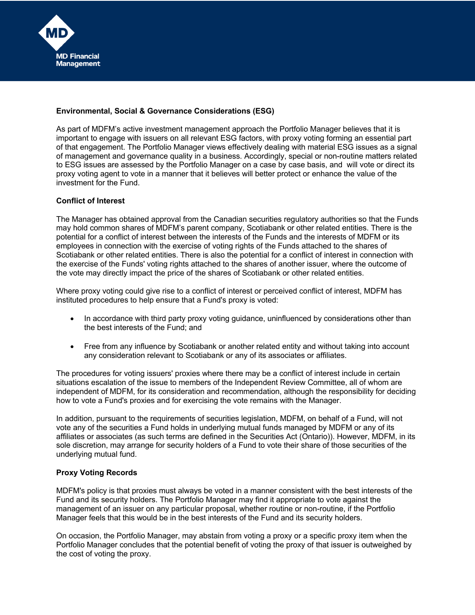

# **Environmental, Social & Governance Considerations (ESG)**

As part of MDFM's active investment management approach the Portfolio Manager believes that it is important to engage with issuers on all relevant ESG factors, with proxy voting forming an essential part of that engagement. The Portfolio Manager views effectively dealing with material ESG issues as a signal of management and governance quality in a business. Accordingly, special or non-routine matters related to ESG issues are assessed by the Portfolio Manager on a case by case basis, and will vote or direct its proxy voting agent to vote in a manner that it believes will better protect or enhance the value of the investment for the Fund.

## **Conflict of Interest**

The Manager has obtained approval from the Canadian securities regulatory authorities so that the Funds may hold common shares of MDFM's parent company, Scotiabank or other related entities. There is the potential for a conflict of interest between the interests of the Funds and the interests of MDFM or its employees in connection with the exercise of voting rights of the Funds attached to the shares of Scotiabank or other related entities. There is also the potential for a conflict of interest in connection with the exercise of the Funds' voting rights attached to the shares of another issuer, where the outcome of the vote may directly impact the price of the shares of Scotiabank or other related entities.

Where proxy voting could give rise to a conflict of interest or perceived conflict of interest, MDFM has instituted procedures to help ensure that a Fund's proxy is voted:

- In accordance with third party proxy voting guidance, uninfluenced by considerations other than the best interests of the Fund; and
- Free from any influence by Scotiabank or another related entity and without taking into account any consideration relevant to Scotiabank or any of its associates or affiliates.

The procedures for voting issuers' proxies where there may be a conflict of interest include in certain situations escalation of the issue to members of the Independent Review Committee, all of whom are independent of MDFM, for its consideration and recommendation, although the responsibility for deciding how to vote a Fund's proxies and for exercising the vote remains with the Manager.

In addition, pursuant to the requirements of securities legislation, MDFM, on behalf of a Fund, will not vote any of the securities a Fund holds in underlying mutual funds managed by MDFM or any of its affiliates or associates (as such terms are defined in the Securities Act (Ontario)). However, MDFM, in its sole discretion, may arrange for security holders of a Fund to vote their share of those securities of the underlying mutual fund.

#### **Proxy Voting Records**

MDFM's policy is that proxies must always be voted in a manner consistent with the best interests of the Fund and its security holders. The Portfolio Manager may find it appropriate to vote against the management of an issuer on any particular proposal, whether routine or non-routine, if the Portfolio Manager feels that this would be in the best interests of the Fund and its security holders.

On occasion, the Portfolio Manager, may abstain from voting a proxy or a specific proxy item when the Portfolio Manager concludes that the potential benefit of voting the proxy of that issuer is outweighed by the cost of voting the proxy.